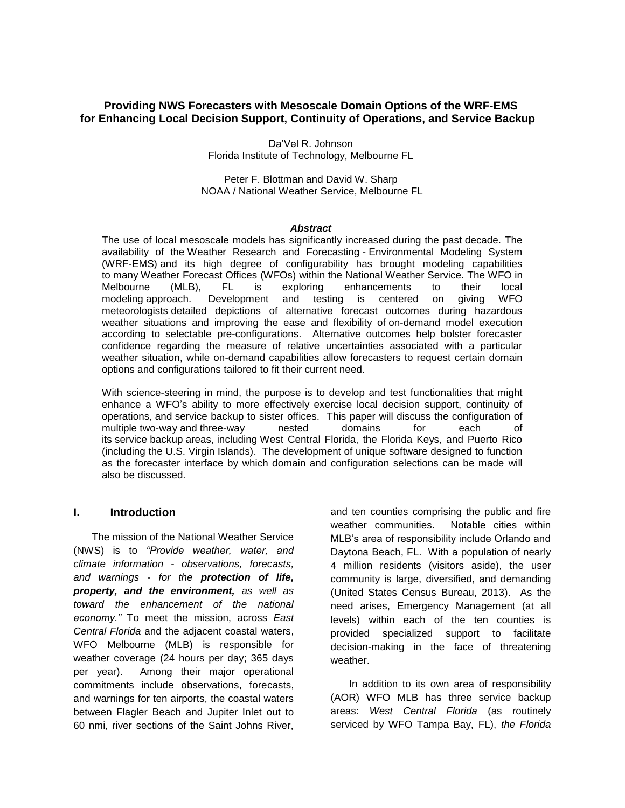### **Providing NWS Forecasters with Mesoscale Domain Options of the WRF-EMS for Enhancing Local Decision Support, Continuity of Operations, and Service Backup**

Da'Vel R. Johnson Florida Institute of Technology, Melbourne FL

Peter F. Blottman and David W. Sharp NOAA / National Weather Service, Melbourne FL

#### *Abstract*

The use of local mesoscale models has significantly increased during the past decade. The availability of the Weather Research and Forecasting - Environmental Modeling System (WRF-EMS) and its high degree of configurability has brought modeling capabilities to many Weather Forecast Offices (WFOs) within the National Weather Service. The WFO in Melbourne (MLB), FL is exploring enhancements to their local modeling approach. Development and testing is centered on giving WFO meteorologists detailed depictions of alternative forecast outcomes during hazardous weather situations and improving the ease and flexibility of on-demand model execution according to selectable pre-configurations. Alternative outcomes help bolster forecaster confidence regarding the measure of relative uncertainties associated with a particular weather situation, while on-demand capabilities allow forecasters to request certain domain options and configurations tailored to fit their current need.

With science-steering in mind, the purpose is to develop and test functionalities that might enhance a WFO's ability to more effectively exercise local decision support, continuity of operations, and service backup to sister offices. This paper will discuss the configuration of multiple two-way and three-way nested domains for each of its service backup areas, including West Central Florida, the Florida Keys, and Puerto Rico (including the U.S. Virgin Islands). The development of unique software designed to function as the forecaster interface by which domain and configuration selections can be made will also be discussed.

#### **I. Introduction**

The mission of the National Weather Service (NWS) is to *"Provide weather, water, and climate information - observations, forecasts, and warnings - for the protection of life, property, and the environment, as well as toward the enhancement of the national economy."* To meet the mission, across *East Central Florida* and the adjacent coastal waters, WFO Melbourne (MLB) is responsible for weather coverage (24 hours per day; 365 days per year). Among their major operational commitments include observations, forecasts, and warnings for ten airports, the coastal waters between Flagler Beach and Jupiter Inlet out to 60 nmi, river sections of the Saint Johns River,

and ten counties comprising the public and fire weather communities. Notable cities within MLB's area of responsibility include Orlando and Daytona Beach, FL. With a population of nearly 4 million residents (visitors aside), the user community is large, diversified, and demanding (United States Census Bureau, 2013). As the need arises, Emergency Management (at all levels) within each of the ten counties is provided specialized support to facilitate decision-making in the face of threatening weather.

In addition to its own area of responsibility (AOR) WFO MLB has three service backup areas: *West Central Florida* (as routinely serviced by WFO Tampa Bay, FL), *the Florida*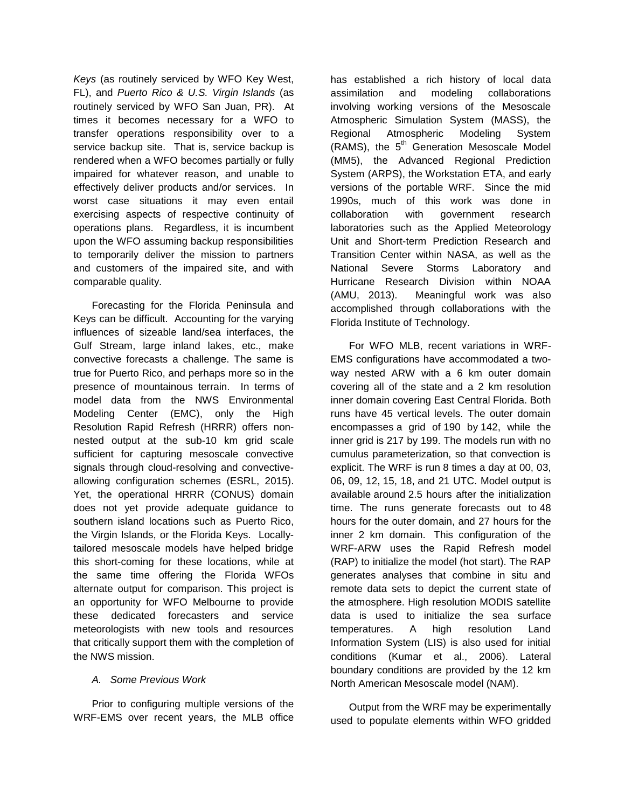*Keys* (as routinely serviced by WFO Key West, FL), and *Puerto Rico & U.S. Virgin Islands* (as routinely serviced by WFO San Juan, PR). At times it becomes necessary for a WFO to transfer operations responsibility over to a service backup site. That is, service backup is rendered when a WFO becomes partially or fully impaired for whatever reason, and unable to effectively deliver products and/or services. In worst case situations it may even entail exercising aspects of respective continuity of operations plans. Regardless, it is incumbent upon the WFO assuming backup responsibilities to temporarily deliver the mission to partners and customers of the impaired site, and with comparable quality.

Forecasting for the Florida Peninsula and Keys can be difficult. Accounting for the varying influences of sizeable land/sea interfaces, the Gulf Stream, large inland lakes, etc., make convective forecasts a challenge. The same is true for Puerto Rico, and perhaps more so in the presence of mountainous terrain. In terms of model data from the NWS Environmental Modeling Center (EMC), only the High Resolution Rapid Refresh (HRRR) offers nonnested output at the sub-10 km grid scale sufficient for capturing mesoscale convective signals through cloud-resolving and convectiveallowing configuration schemes (ESRL, 2015). Yet, the operational HRRR (CONUS) domain does not yet provide adequate guidance to southern island locations such as Puerto Rico, the Virgin Islands, or the Florida Keys. Locallytailored mesoscale models have helped bridge this short-coming for these locations, while at the same time offering the Florida WFOs alternate output for comparison. This project is an opportunity for WFO Melbourne to provide these dedicated forecasters and service meteorologists with new tools and resources that critically support them with the completion of the NWS mission.

#### *A. Some Previous Work*

Prior to configuring multiple versions of the WRF-EMS over recent years, the MLB office has established a rich history of local data assimilation and modeling collaborations involving working versions of the Mesoscale Atmospheric Simulation System (MASS), the Regional Atmospheric Modeling System (RAMS), the  $5<sup>th</sup>$  Generation Mesoscale Model (MM5), the Advanced Regional Prediction System (ARPS), the Workstation ETA, and early versions of the portable WRF. Since the mid 1990s, much of this work was done in collaboration with government research laboratories such as the Applied Meteorology Unit and Short-term Prediction Research and Transition Center within NASA, as well as the National Severe Storms Laboratory and Hurricane Research Division within NOAA (AMU, 2013). Meaningful work was also accomplished through collaborations with the Florida Institute of Technology.

For WFO MLB, recent variations in WRF-EMS configurations have accommodated a twoway nested ARW with a 6 km outer domain covering all of the state and a 2 km resolution inner domain covering East Central Florida. Both runs have 45 vertical levels. The outer domain encompasses a grid of 190 by 142, while the inner grid is 217 by 199. The models run with no cumulus parameterization, so that convection is explicit. The WRF is run 8 times a day at 00, 03, 06, 09, 12, 15, 18, and 21 UTC. Model output is available around 2.5 hours after the initialization time. The runs generate forecasts out to 48 hours for the outer domain, and 27 hours for the inner 2 km domain. This configuration of the WRF-ARW uses the Rapid Refresh model (RAP) to initialize the model (hot start). The RAP generates analyses that combine in situ and remote data sets to depict the current state of the atmosphere. High resolution MODIS satellite data is used to initialize the sea surface temperatures. A high resolution Land Information System (LIS) is also used for initial conditions (Kumar et al., 2006). Lateral boundary conditions are provided by the 12 km North American Mesoscale model (NAM).

Output from the WRF may be experimentally used to populate elements within WFO gridded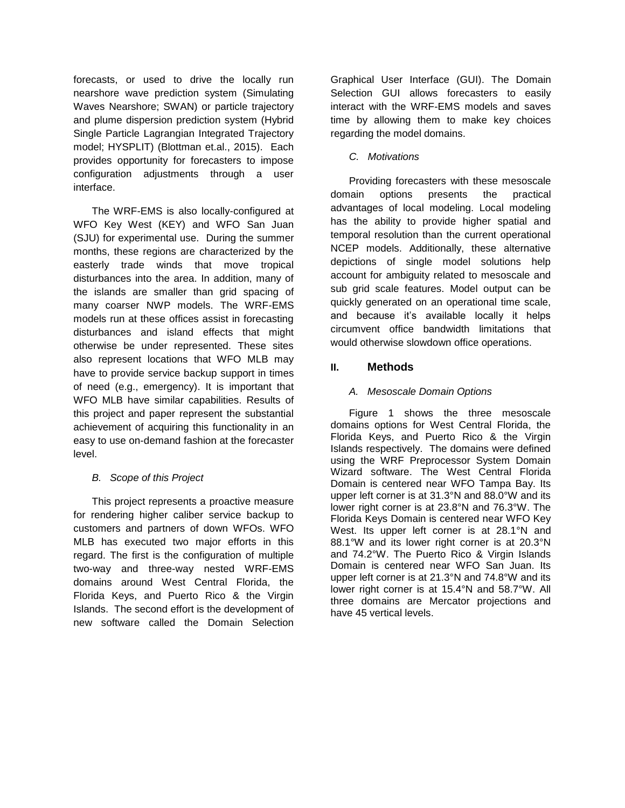forecasts, or used to drive the locally run nearshore wave prediction system (Simulating Waves Nearshore; SWAN) or particle trajectory and plume dispersion prediction system (Hybrid Single Particle Lagrangian Integrated Trajectory model; HYSPLIT) (Blottman et.al., 2015). Each provides opportunity for forecasters to impose configuration adjustments through a user interface.

The WRF-EMS is also locally-configured at WFO Key West (KEY) and WFO San Juan (SJU) for experimental use. During the summer months, these regions are characterized by the easterly trade winds that move tropical disturbances into the area. In addition, many of the islands are smaller than grid spacing of many coarser NWP models. The WRF-EMS models run at these offices assist in forecasting disturbances and island effects that might otherwise be under represented. These sites also represent locations that WFO MLB may have to provide service backup support in times of need (e.g., emergency). It is important that WFO MLB have similar capabilities. Results of this project and paper represent the substantial achievement of acquiring this functionality in an easy to use on-demand fashion at the forecaster level.

# *B. Scope of this Project*

This project represents a proactive measure for rendering higher caliber service backup to customers and partners of down WFOs. WFO MLB has executed two major efforts in this regard. The first is the configuration of multiple two-way and three-way nested WRF-EMS domains around West Central Florida, the Florida Keys, and Puerto Rico & the Virgin Islands. The second effort is the development of new software called the Domain Selection Graphical User Interface (GUI). The Domain Selection GUI allows forecasters to easily interact with the WRF-EMS models and saves time by allowing them to make key choices regarding the model domains.

## *C. Motivations*

Providing forecasters with these mesoscale domain options presents the practical advantages of local modeling. Local modeling has the ability to provide higher spatial and temporal resolution than the current operational NCEP models. Additionally, these alternative depictions of single model solutions help account for ambiguity related to mesoscale and sub grid scale features. Model output can be quickly generated on an operational time scale, and because it's available locally it helps circumvent office bandwidth limitations that would otherwise slowdown office operations.

# **II. Methods**

### *A. Mesoscale Domain Options*

Figure 1 shows the three mesoscale domains options for West Central Florida, the Florida Keys, and Puerto Rico & the Virgin Islands respectively. The domains were defined using the WRF Preprocessor System Domain Wizard software. The West Central Florida Domain is centered near WFO Tampa Bay. Its upper left corner is at 31.3°N and 88.0°W and its lower right corner is at 23.8°N and 76.3°W. The Florida Keys Domain is centered near WFO Key West. Its upper left corner is at 28.1°N and 88.1°W and its lower right corner is at 20.3°N and 74.2°W. The Puerto Rico & Virgin Islands Domain is centered near WFO San Juan. Its upper left corner is at 21.3°N and 74.8°W and its lower right corner is at 15.4°N and 58.7°W. All three domains are Mercator projections and have 45 vertical levels.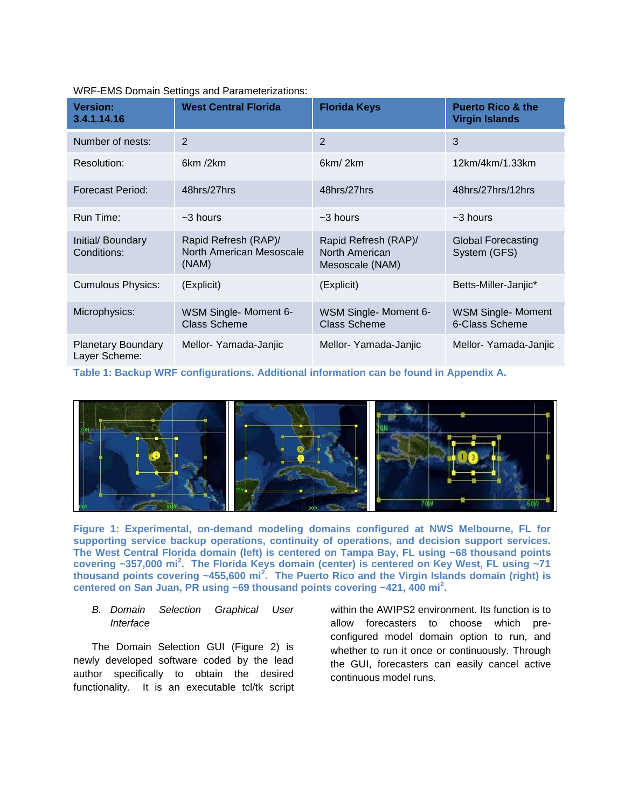| <b>Version:</b><br>3.4.1.14.16             | <b>West Central Florida</b>                               | <b>Florida Keys</b>                                       | <b>Puerto Rico &amp; the</b><br><b>Virgin Islands</b> |
|--------------------------------------------|-----------------------------------------------------------|-----------------------------------------------------------|-------------------------------------------------------|
| Number of nests:                           | $\overline{2}$                                            | 2                                                         | 3                                                     |
| Resolution:                                | 6km /2km                                                  | 6km/2km                                                   | 12km/4km/1.33km                                       |
| Forecast Period:                           | 48hrs/27hrs                                               | 48hrs/27hrs                                               | 48hrs/27hrs/12hrs                                     |
| Run Time:                                  | $~1$ -3 hours                                             | $~1$ -3 hours                                             | $~1$ -3 hours                                         |
| Initial/ Boundary<br>Conditions:           | Rapid Refresh (RAP)/<br>North American Mesoscale<br>(NAM) | Rapid Refresh (RAP)/<br>North American<br>Mesoscale (NAM) | <b>Global Forecasting</b><br>System (GFS)             |
| <b>Cumulous Physics:</b>                   | (Explicit)                                                | (Explicit)                                                | Betts-Miller-Janjic*                                  |
| Microphysics:                              | WSM Single- Moment 6-<br><b>Class Scheme</b>              | WSM Single- Moment 6-<br><b>Class Scheme</b>              | <b>WSM Single- Moment</b><br>6-Class Scheme           |
| <b>Planetary Boundary</b><br>Layer Scheme: | Mellor- Yamada-Janjic                                     | Mellor-Yamada-Janjic                                      | Mellor-Yamada-Janjic                                  |

WRF-EMS Domain Settings and Parameterizations:

**Table 1: Backup WRF configurations. Additional information can be found in Appendix A.**



**Figure 1: Experimental, on-demand modeling domains configured at NWS Melbourne, FL for supporting service backup operations, continuity of operations, and decision support services. The West Central Florida domain (left) is centered on Tampa Bay, FL using ~68 thousand points covering ~357,000 mi<sup>2</sup> . The Florida Keys domain (center) is centered on Key West, FL using ~71 thousand points covering ~455,600 mi<sup>2</sup> . The Puerto Rico and the Virgin Islands domain (right) is centered on San Juan, PR using ~69 thousand points covering ~421, 400 mi<sup>2</sup> .** 

#### *B. Domain Selection Graphical User Interface*

The Domain Selection GUI (Figure 2) is newly developed software coded by the lead author specifically to obtain the desired functionality. It is an executable tcl/tk script within the AWIPS2 environment. Its function is to allow forecasters to choose which preconfigured model domain option to run, and whether to run it once or continuously. Through the GUI, forecasters can easily cancel active continuous model runs.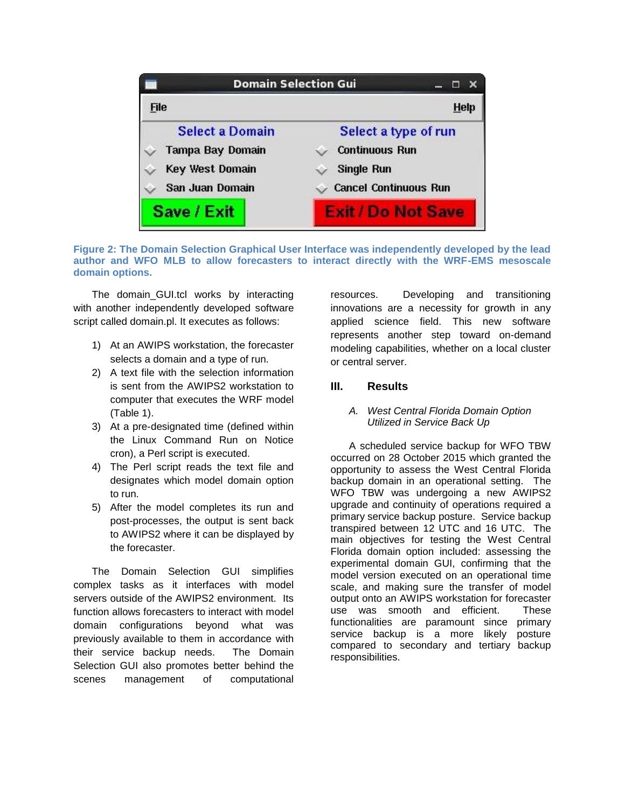

**Figure 2: The Domain Selection Graphical User Interface was independently developed by the lead author and WFO MLB to allow forecasters to interact directly with the WRF-EMS mesoscale domain options.**

The domain GUI.tcl works by interacting with another independently developed software script called domain.pl. It executes as follows:

- 1) At an AWIPS workstation, the forecaster selects a domain and a type of run.
- 2) A text file with the selection information is sent from the AWIPS2 workstation to computer that executes the WRF model (Table 1).
- 3) At a pre-designated time (defined within the Linux Command Run on Notice cron), a Perl script is executed.
- 4) The Perl script reads the text file and designates which model domain option to run.
- 5) After the model completes its run and post-processes, the output is sent back to AWIPS2 where it can be displayed by the forecaster.

The Domain Selection GUI simplifies complex tasks as it interfaces with model servers outside of the AWIPS2 environment. Its function allows forecasters to interact with model domain configurations beyond what was previously available to them in accordance with their service backup needs. The Domain Selection GUI also promotes better behind the scenes management of computational

resources. Developing and transitioning innovations are a necessity for growth in any applied science field. This new software represents another step toward on-demand modeling capabilities, whether on a local cluster or central server.

# **III. Results**

#### *A. West Central Florida Domain Option Utilized in Service Back Up*

A scheduled service backup for WFO TBW occurred on 28 October 2015 which granted the opportunity to assess the West Central Florida backup domain in an operational setting. The WFO TBW was undergoing a new AWIPS2 upgrade and continuity of operations required a primary service backup posture. Service backup transpired between 12 UTC and 16 UTC. The main objectives for testing the West Central Florida domain option included: assessing the experimental domain GUI, confirming that the model version executed on an operational time scale, and making sure the transfer of model output onto an AWIPS workstation for forecaster use was smooth and efficient. These functionalities are paramount since primary service backup is a more likely posture compared to secondary and tertiary backup responsibilities.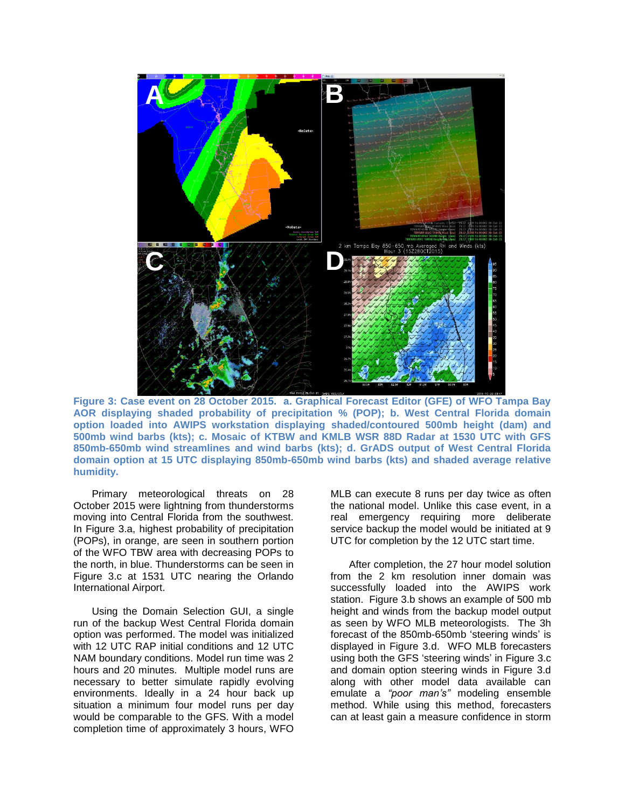

**Figure 3: Case event on 28 October 2015. a. Graphical Forecast Editor (GFE) of WFO Tampa Bay AOR displaying shaded probability of precipitation % (POP); b. West Central Florida domain option loaded into AWIPS workstation displaying shaded/contoured 500mb height (dam) and 500mb wind barbs (kts); c. Mosaic of KTBW and KMLB WSR 88D Radar at 1530 UTC with GFS 850mb-650mb wind streamlines and wind barbs (kts); d. GrADS output of West Central Florida domain option at 15 UTC displaying 850mb-650mb wind barbs (kts) and shaded average relative humidity.** 

Primary meteorological threats on 28 October 2015 were lightning from thunderstorms moving into Central Florida from the southwest. In Figure 3.a, highest probability of precipitation (POPs), in orange, are seen in southern portion of the WFO TBW area with decreasing POPs to the north, in blue. Thunderstorms can be seen in Figure 3.c at 1531 UTC nearing the Orlando International Airport.

Using the Domain Selection GUI, a single run of the backup West Central Florida domain option was performed. The model was initialized with 12 UTC RAP initial conditions and 12 UTC NAM boundary conditions. Model run time was 2 hours and 20 minutes. Multiple model runs are necessary to better simulate rapidly evolving environments. Ideally in a 24 hour back up situation a minimum four model runs per day would be comparable to the GFS. With a model completion time of approximately 3 hours, WFO

MLB can execute 8 runs per day twice as often the national model. Unlike this case event, in a real emergency requiring more deliberate service backup the model would be initiated at 9 UTC for completion by the 12 UTC start time.

After completion, the 27 hour model solution from the 2 km resolution inner domain was successfully loaded into the AWIPS work station. Figure 3.b shows an example of 500 mb height and winds from the backup model output as seen by WFO MLB meteorologists. The 3h forecast of the 850mb-650mb 'steering winds' is displayed in Figure 3.d. WFO MLB forecasters using both the GFS 'steering winds' in Figure 3.c and domain option steering winds in Figure 3.d along with other model data available can emulate a *"poor man's"* modeling ensemble method. While using this method, forecasters can at least gain a measure confidence in storm